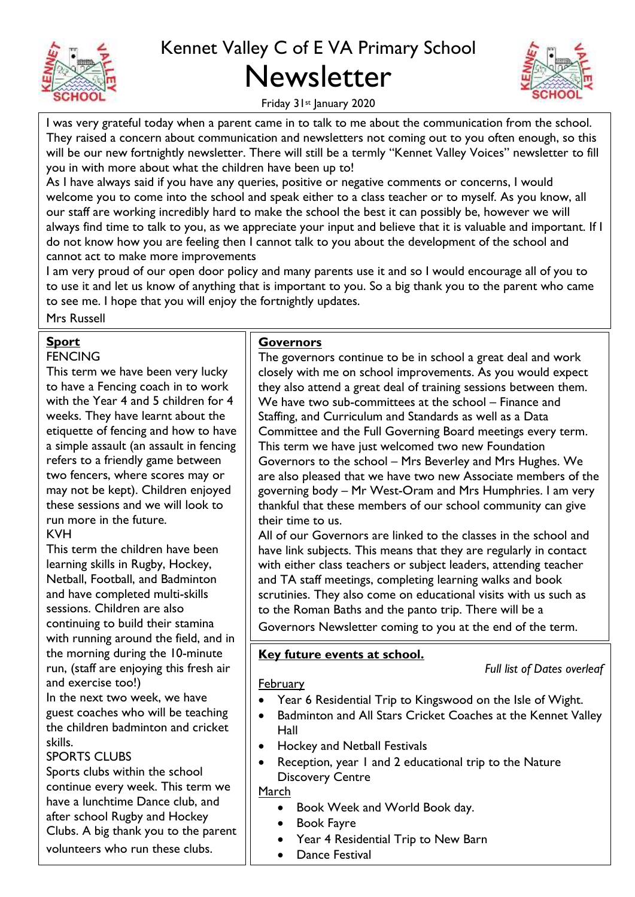

# Kennet Valley C of E VA Primary School Newsletter



Friday 31st January 2020

I was very grateful today when a parent came in to talk to me about the communication from the school. They raised a concern about communication and newsletters not coming out to you often enough, so this will be our new fortnightly newsletter. There will still be a termly "Kennet Valley Voices" newsletter to fill you in with more about what the children have been up to!

As I have always said if you have any queries, positive or negative comments or concerns, I would welcome you to come into the school and speak either to a class teacher or to myself. As you know, all our staff are working incredibly hard to make the school the best it can possibly be, however we will always find time to talk to you, as we appreciate your input and believe that it is valuable and important. If I do not know how you are feeling then I cannot talk to you about the development of the school and cannot act to make more improvements

I am very proud of our open door policy and many parents use it and so I would encourage all of you to to use it and let us know of anything that is important to you. So a big thank you to the parent who came to see me. I hope that you will enjoy the fortnightly updates.

Mrs Russell

#### **Sport**

#### **FENCING**

This term we have been very lucky to have a Fencing coach in to work with the Year 4 and 5 children for 4 weeks. They have learnt about the etiquette of fencing and how to have a simple assault (an assault in fencing refers to a friendly game between two fencers, where scores may or may not be kept). Children enjoyed these sessions and we will look to run more in the future. KVH

This term the children have been learning skills in Rugby, Hockey, Netball, Football, and Badminton and have completed multi-skills sessions. Children are also continuing to build their stamina with running around the field, and in the morning during the 10-minute run, (staff are enjoying this fresh air and exercise too!)

In the next two week, we have guest coaches who will be teaching the children badminton and cricket skills.

## SPORTS CLUBS

Sports clubs within the school continue every week. This term we have a lunchtime Dance club, and after school Rugby and Hockey Clubs. A big thank you to the parent volunteers who run these clubs.

#### **Governors**

The governors continue to be in school a great deal and work closely with me on school improvements. As you would expect they also attend a great deal of training sessions between them. We have two sub-committees at the school – Finance and Staffing, and Curriculum and Standards as well as a Data Committee and the Full Governing Board meetings every term. This term we have just welcomed two new Foundation Governors to the school – Mrs Beverley and Mrs Hughes. We are also pleased that we have two new Associate members of the governing body – Mr West-Oram and Mrs Humphries. I am very thankful that these members of our school community can give their time to us.

All of our Governors are linked to the classes in the school and have link subjects. This means that they are regularly in contact with either class teachers or subject leaders, attending teacher and TA staff meetings, completing learning walks and book scrutinies. They also come on educational visits with us such as to the Roman Baths and the panto trip. There will be a

Governors Newsletter coming to you at the end of the term.

## **Key future events at school.**

#### *Full list of Dates overleaf*

February

- Year 6 Residential Trip to Kingswood on the Isle of Wight.
- Badminton and All Stars Cricket Coaches at the Kennet Valley Hall
- Hockey and Netball Festivals
- Reception, year 1 and 2 educational trip to the Nature Discovery Centre

March

- Book Week and World Book day.
- Book Fayre
- Year 4 Residential Trip to New Barn
- **•** Dance Festival